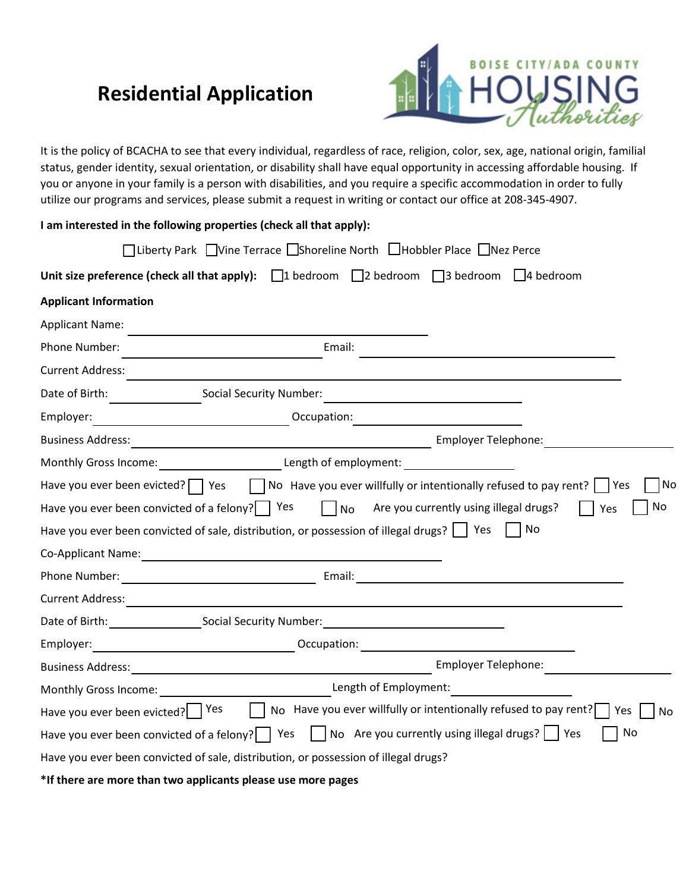# **Residential Application**



It is the policy of BCACHA to see that every individual, regardless of race, religion, color, sex, age, national origin, familial status, gender identity, sexual orientation, or disability shall have equal opportunity in accessing affordable housing. If you or anyone in your family is a person with disabilities, and you require a specific accommodation in order to fully utilize our programs and services, please submit a request in writing or contact our office at 208-345-4907.

|                                                      | I am interested in the following properties (check all that apply):                                                                                                                                                                                                                                       |          |
|------------------------------------------------------|-----------------------------------------------------------------------------------------------------------------------------------------------------------------------------------------------------------------------------------------------------------------------------------------------------------|----------|
|                                                      | □Liberty Park □Vine Terrace □Shoreline North □Hobbler Place □Nez Perce                                                                                                                                                                                                                                    |          |
|                                                      | Unit size preference (check all that apply): $\Box$ 1 bedroom $\Box$ 2 bedroom $\Box$ 3 bedroom $\Box$ 4 bedroom                                                                                                                                                                                          |          |
| <b>Applicant Information</b>                         |                                                                                                                                                                                                                                                                                                           |          |
| <b>Applicant Name:</b>                               |                                                                                                                                                                                                                                                                                                           |          |
| Phone Number:                                        | Email:                                                                                                                                                                                                                                                                                                    |          |
| <b>Current Address:</b>                              |                                                                                                                                                                                                                                                                                                           |          |
|                                                      | Date of Birth: Social Security Number:                                                                                                                                                                                                                                                                    |          |
| Employer:                                            | Decupation: National Contract of Contract of Contract of Contract of Contract of Contract of Contract of Contract of Contract of Contract of Contract of Contract of Contract of Contract of Contract of Contract of Contract                                                                             |          |
|                                                      |                                                                                                                                                                                                                                                                                                           |          |
|                                                      | Monthly Gross Income: ____________________________Length of employment: ___________________________                                                                                                                                                                                                       |          |
| Have you ever been convicted of a felony? $\Box$ Yes | Have you ever been evicted? $\Box$ Yes $\Box$ No Have you ever willfully or intentionally refused to pay rent?     Yes<br>$\vert$ $\vert$ No<br>Are you currently using illegal drugs?<br>Yes<br>Have you ever been convicted of sale, distribution, or possession of illegal drugs? $\Box$ Yes $\Box$ No | No<br>No |
|                                                      |                                                                                                                                                                                                                                                                                                           |          |
|                                                      |                                                                                                                                                                                                                                                                                                           |          |
|                                                      |                                                                                                                                                                                                                                                                                                           |          |
|                                                      | Date of Birth: Social Security Number: 1997                                                                                                                                                                                                                                                               |          |
|                                                      | Employer: 1990 Compatibility Contract Compatibility Compatibility Compatibility Compatibility Compatibility Compatibility Compatibility Compatibility Compatibility Compatibility Compatibility Compatibility Compatibility Co                                                                            |          |
|                                                      |                                                                                                                                                                                                                                                                                                           |          |
|                                                      | Monthly Gross Income: None of Employment: Monthly Gross Income:                                                                                                                                                                                                                                           |          |
|                                                      | Have you ever been evicted? Yes Internal No Have you ever willfully or intentionally refused to pay rent? Yes                                                                                                                                                                                             | No       |
|                                                      | Have you ever been convicted of a felony? $\Box$ Yes $\Box$ No Are you currently using illegal drugs? $\Box$ Yes<br>No                                                                                                                                                                                    |          |
|                                                      | Have you ever been convicted of sale, distribution, or possession of illegal drugs?                                                                                                                                                                                                                       |          |
|                                                      | *If there are more than two applicants please use more pages                                                                                                                                                                                                                                              |          |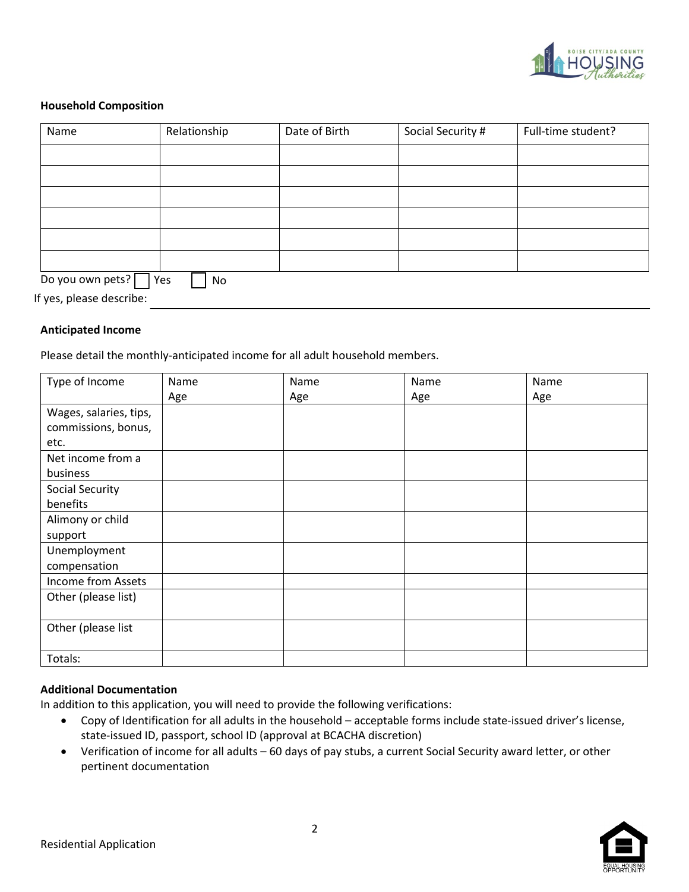

#### **Household Composition**

| Name                     | Relationship | Date of Birth | Social Security # | Full-time student? |
|--------------------------|--------------|---------------|-------------------|--------------------|
|                          |              |               |                   |                    |
|                          |              |               |                   |                    |
|                          |              |               |                   |                    |
|                          |              |               |                   |                    |
|                          |              |               |                   |                    |
|                          |              |               |                   |                    |
| Do you own pets?   Yes   | No           |               |                   |                    |
| If yes, please describe: |              |               |                   |                    |

#### **Anticipated Income**

Please detail the monthly-anticipated income for all adult household members.

| Type of Income         | Name | Name | Name | Name |
|------------------------|------|------|------|------|
|                        | Age  | Age  | Age  | Age  |
| Wages, salaries, tips, |      |      |      |      |
| commissions, bonus,    |      |      |      |      |
| etc.                   |      |      |      |      |
| Net income from a      |      |      |      |      |
| business               |      |      |      |      |
| Social Security        |      |      |      |      |
| benefits               |      |      |      |      |
| Alimony or child       |      |      |      |      |
| support                |      |      |      |      |
| Unemployment           |      |      |      |      |
| compensation           |      |      |      |      |
| Income from Assets     |      |      |      |      |
| Other (please list)    |      |      |      |      |
|                        |      |      |      |      |
| Other (please list     |      |      |      |      |
|                        |      |      |      |      |
| Totals:                |      |      |      |      |

#### **Additional Documentation**

In addition to this application, you will need to provide the following verifications:

- Copy of Identification for all adults in the household acceptable forms include state-issued driver's license, state-issued ID, passport, school ID (approval at BCACHA discretion)
- Verification of income for all adults 60 days of pay stubs, a current Social Security award letter, or other pertinent documentation

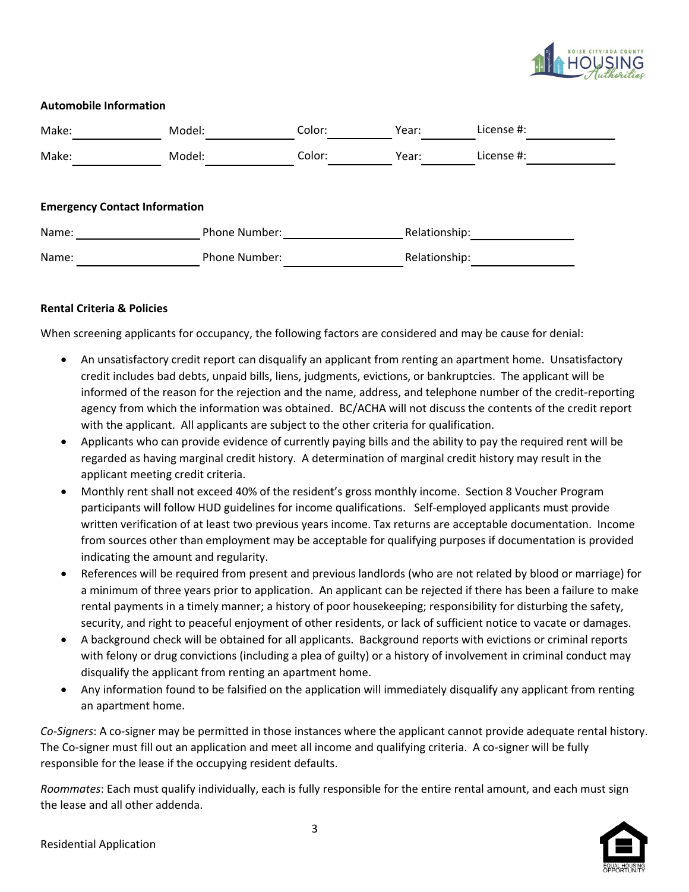

## **Automobile Information**

| Make:                                | Model:        | Color:               | Year:         | License #:    |  |
|--------------------------------------|---------------|----------------------|---------------|---------------|--|
| Make:                                | Model:        | Color:               | Year:         | License #:    |  |
| <b>Emergency Contact Information</b> |               |                      |               |               |  |
| Name:                                | Phone Number: |                      | Relationship: |               |  |
| Name:                                |               | <b>Phone Number:</b> |               | Relationship: |  |

## **Rental Criteria & Policies**

When screening applicants for occupancy, the following factors are considered and may be cause for denial:

- An unsatisfactory credit report can disqualify an applicant from renting an apartment home. Unsatisfactory credit includes bad debts, unpaid bills, liens, judgments, evictions, or bankruptcies. The applicant will be informed of the reason for the rejection and the name, address, and telephone number of the credit-reporting agency from which the information was obtained. BC/ACHA will not discuss the contents of the credit report with the applicant. All applicants are subject to the other criteria for qualification.
- Applicants who can provide evidence of currently paying bills and the ability to pay the required rent will be regarded as having marginal credit history. A determination of marginal credit history may result in the applicant meeting credit criteria.
- Monthly rent shall not exceed 40% of the resident's gross monthly income. Section 8 Voucher Program participants will follow HUD guidelines for income qualifications. Self-employed applicants must provide written verification of at least two previous years income. Tax returns are acceptable documentation. Income from sources other than employment may be acceptable for qualifying purposes if documentation is provided indicating the amount and regularity.
- References will be required from present and previous landlords (who are not related by blood or marriage) for a minimum of three years prior to application. An applicant can be rejected if there has been a failure to make rental payments in a timely manner; a history of poor housekeeping; responsibility for disturbing the safety, security, and right to peaceful enjoyment of other residents, or lack of sufficient notice to vacate or damages.
- A background check will be obtained for all applicants. Background reports with evictions or criminal reports with felony or drug convictions (including a plea of guilty) or a history of involvement in criminal conduct may disqualify the applicant from renting an apartment home.
- Any information found to be falsified on the application will immediately disqualify any applicant from renting an apartment home.

*Co-Signers*: A co-signer may be permitted in those instances where the applicant cannot provide adequate rental history. The Co-signer must fill out an application and meet all income and qualifying criteria. A co-signer will be fully responsible for the lease if the occupying resident defaults.

*Roommates*: Each must qualify individually, each is fully responsible for the entire rental amount, and each must sign the lease and all other addenda.

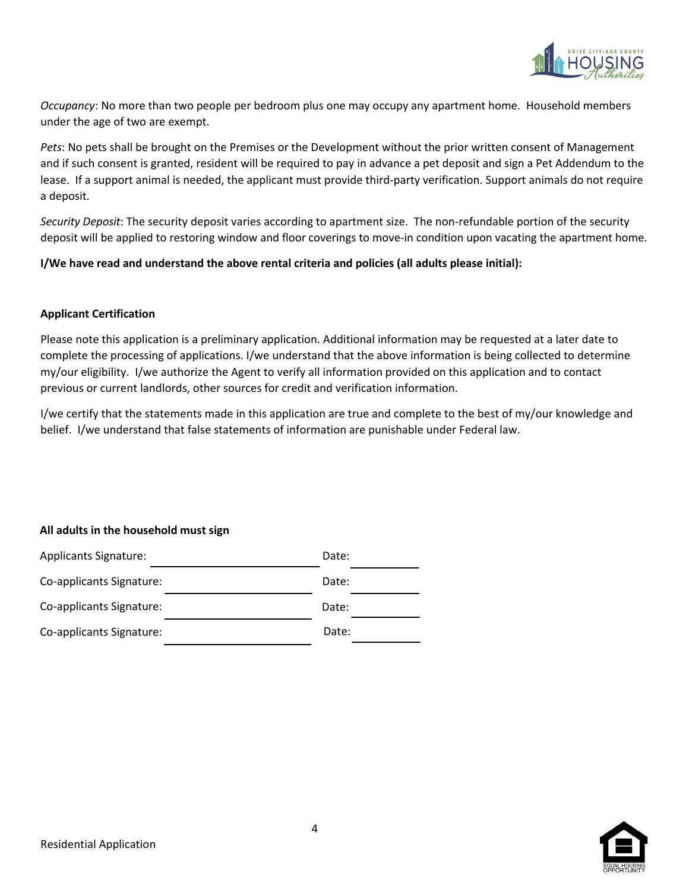

*Occupancy*: No more than two people per bedroom plus one may occupy any apartment home. Household members under the age of two are exempt.

*Pets*: No pets shall be brought on the Premises or the Development without the prior written consent of Management and if such consent is granted, resident will be required to pay in advance a pet deposit and sign a Pet Addendum to the lease. If a support animal is needed, the applicant must provide third-party verification. Support animals do not require a deposit.

*Security Deposit*: The security deposit varies according to apartment size. The non-refundable portion of the security deposit will be applied to restoring window and floor coverings to move-in condition upon vacating the apartment home.

**I/We have read and understand the above rental criteria and policies (all adults please initial):** 

#### **Applicant Certification**

Please note this application is a preliminary application. Additional information may be requested at a later date to complete the processing of applications. I/we understand that the above information is being collected to determine my/our eligibility. I/we authorize the Agent to verify all information provided on this application and to contact previous or current landlords, other sources for credit and verification information.

I/we certify that the statements made in this application are true and complete to the best of my/our knowledge and belief. I/we understand that false statements of information are punishable under Federal law.

#### **All adults in the household must sign**



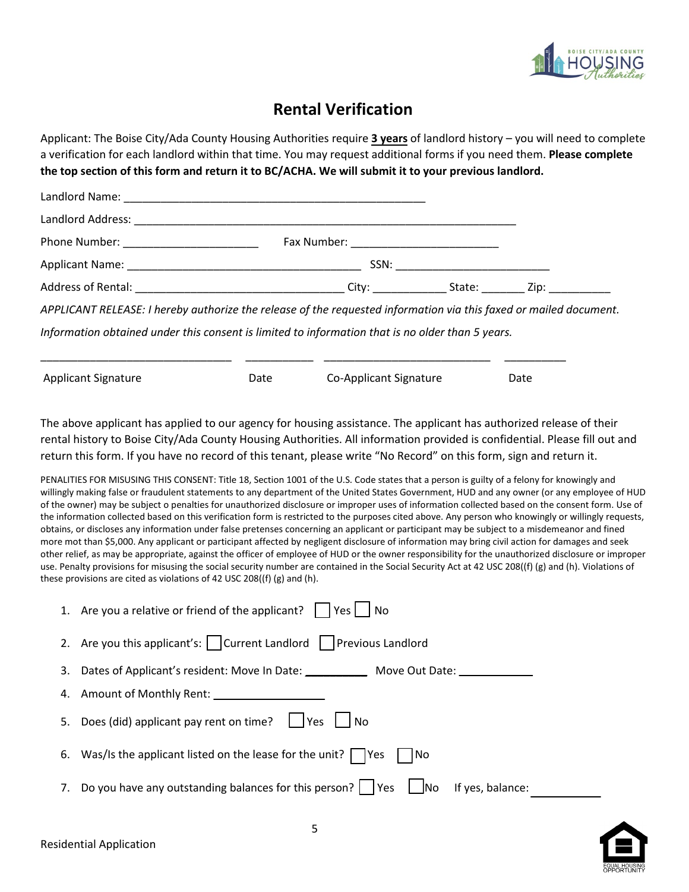

# **Rental Verification**

Applicant: The Boise City/Ada County Housing Authorities require **3 years** of landlord history – you will need to complete a verification for each landlord within that time. You may request additional forms if you need them. **Please complete the top section of this form and return it to BC/ACHA. We will submit it to your previous landlord.**

| APPLICANT RELEASE: I hereby authorize the release of the requested information via this faxed or mailed document. |  |  |
|-------------------------------------------------------------------------------------------------------------------|--|--|
| Information obtained under this consent is limited to information that is no older than 5 years.                  |  |  |
|                                                                                                                   |  |  |

| <b>Applicant Signature</b> | Date | Co-Applicant Signature | Date |
|----------------------------|------|------------------------|------|
|                            |      |                        |      |

The above applicant has applied to our agency for housing assistance. The applicant has authorized release of their rental history to Boise City/Ada County Housing Authorities. All information provided is confidential. Please fill out and return this form. If you have no record of this tenant, please write "No Record" on this form, sign and return it.

PENALITIES FOR MISUSING THIS CONSENT: Title 18, Section 1001 of the U.S. Code states that a person is guilty of a felony for knowingly and willingly making false or fraudulent statements to any department of the United States Government, HUD and any owner (or any employee of HUD of the owner) may be subject o penalties for unauthorized disclosure or improper uses of information collected based on the consent form. Use of the information collected based on this verification form is restricted to the purposes cited above. Any person who knowingly or willingly requests, obtains, or discloses any information under false pretenses concerning an applicant or participant may be subject to a misdemeanor and fined more mot than \$5,000. Any applicant or participant affected by negligent disclosure of information may bring civil action for damages and seek other relief, as may be appropriate, against the officer of employee of HUD or the owner responsibility for the unauthorized disclosure or improper use. Penalty provisions for misusing the social security number are contained in the Social Security Act at 42 USC 208((f) (g) and (h). Violations of these provisions are cited as violations of 42 USC 208((f) (g) and (h).

| 1. Are you a relative or friend of the applicant?     Yes     No                            |
|---------------------------------------------------------------------------------------------|
| 2. Are you this applicant's: $\vert$ Current Landlord Previous Landlord                     |
| 3. Dates of Applicant's resident: Move In Date: ______________ Move Out Date: _____________ |
|                                                                                             |
| 5. Does (did) applicant pay rent on time?     Yes     No                                    |
| 6. Was/Is the applicant listed on the lease for the unit? $\Box$ Yes $\Box$ No              |
| 7. Do you have any outstanding balances for this person? I Yes Ino<br>If yes, balance:      |